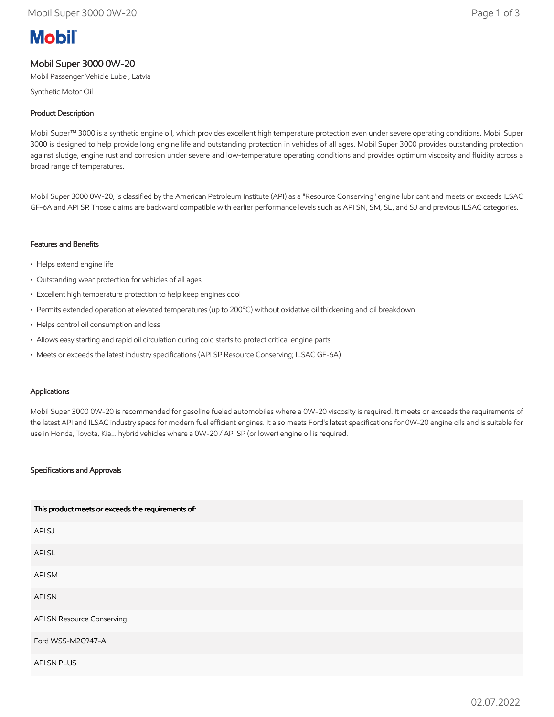# **Mobil**

# Mobil Super 3000 0W-20

Mobil Passenger Vehicle Lube , Latvia

Synthetic Motor Oil

# Product Description

Mobil Super™ 3000 is a synthetic engine oil, which provides excellent high temperature protection even under severe operating conditions. Mobil Super 3000 is designed to help provide long engine life and outstanding protection in vehicles of all ages. Mobil Super 3000 provides outstanding protection against sludge, engine rust and corrosion under severe and low-temperature operating conditions and provides optimum viscosity and fluidity across a broad range of temperatures.

Mobil Super 3000 0W-20, is classified by the American Petroleum Institute (API) as a "Resource Conserving" engine lubricant and meets or exceeds ILSAC GF-6A and API SP. Those claims are backward compatible with earlier performance levels such as API SN, SM, SL, and SJ and previous ILSAC categories.

## Features and Benefits

- Helps extend engine life
- Outstanding wear protection for vehicles of all ages
- Excellent high temperature protection to help keep engines cool
- Permits extended operation at elevated temperatures (up to 200°C) without oxidative oil thickening and oil breakdown
- Helps control oil consumption and loss
- Allows easy starting and rapid oil circulation during cold starts to protect critical engine parts
- Meets or exceeds the latest industry specifications (API SP Resource Conserving; ILSAC GF-6A)

#### Applications

Mobil Super 3000 0W-20 is recommended for gasoline fueled automobiles where a 0W-20 viscosity is required. It meets or exceeds the requirements of the latest API and ILSAC industry specs for modern fuel efficient engines. It also meets Ford's latest specifications for 0W-20 engine oils and is suitable for use in Honda, Toyota, Kia... hybrid vehicles where a 0W-20 / API SP (or lower) engine oil is required.

### Specifications and Approvals

| This product meets or exceeds the requirements of: |
|----------------------------------------------------|
| API SJ                                             |
| API SL                                             |
| API SM                                             |
| API SN                                             |
| API SN Resource Conserving                         |
| Ford WSS-M2C947-A                                  |
| API SN PLUS                                        |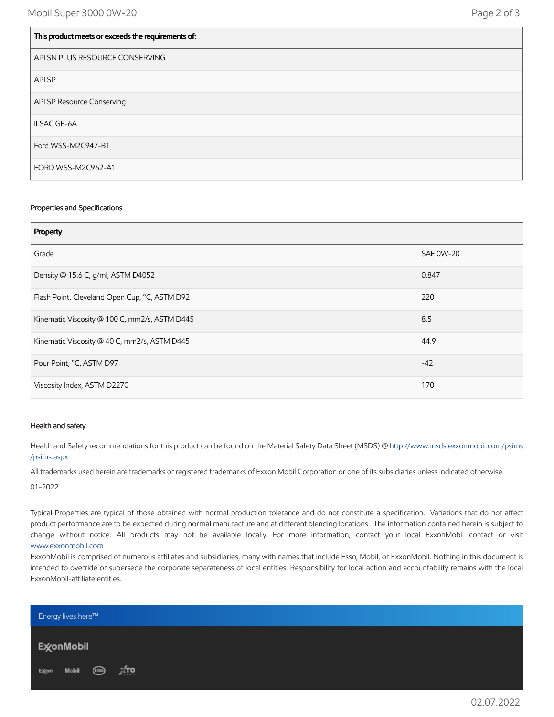$\vert$  . This product meets or exceeds the requirements of:

| This product meets or exceeds the requirements of. |
|----------------------------------------------------|
| API SN PLUS RESOURCE CONSERVING                    |
| API SP                                             |
| API SP Resource Conserving                         |
| ILSAC GF-6A                                        |
| Ford WSS-M2C947-B1                                 |
| FORD WSS-M2C962-A1                                 |

#### Properties and Specifications

| Property                                      |                  |
|-----------------------------------------------|------------------|
| Grade                                         | <b>SAE 0W-20</b> |
| Density @ 15.6 C, g/ml, ASTM D4052            | 0.847            |
| Flash Point, Cleveland Open Cup, °C, ASTM D92 | 220              |
| Kinematic Viscosity @ 100 C, mm2/s, ASTM D445 | 8.5              |
| Kinematic Viscosity @ 40 C, mm2/s, ASTM D445  | 44.9             |
| Pour Point, °C, ASTM D97                      | $-42$            |
| Viscosity Index, ASTM D2270                   | 170              |

#### Health and safety

Health and Safety recommendations for this product can be found on the Material Safety Data Sheet (MSDS) @ [http://www.msds.exxonmobil.com/psims](http://www.msds.exxonmobil.com/psims/psims.aspx) /psims.aspx

All trademarks used herein are trademarks or registered trademarks of Exxon Mobil Corporation or one of its subsidiaries unless indicated otherwise.

01-2022

.

Typical Properties are typical of those obtained with normal production tolerance and do not constitute a specification. Variations that do not affect product performance are to be expected during normal manufacture and at different blending locations. The information contained herein is subject to change without notice. All products may not be available locally. For more information, contact your local ExxonMobil contact or visit [www.exxonmobil.com](http://www.exxonmobil.com/)

ExxonMobil is comprised of numerous affiliates and subsidiaries, many with names that include Esso, Mobil, or ExxonMobil. Nothing in this document is intended to override or supersede the corporate separateness of local entities. Responsibility for local action and accountability remains with the local ExxonMobil-affiliate entities.